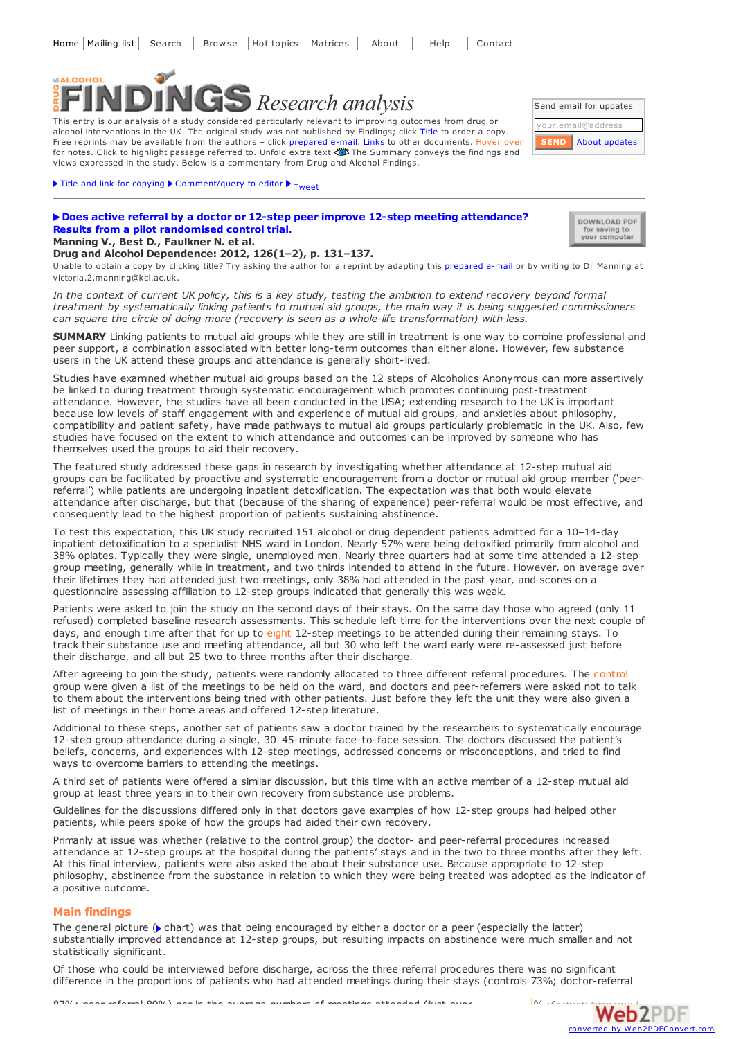# <span id="page-0-0"></span>ALCOHOL *Research analysis*

This entry is our analysis of a study considered particularly relevant to improving outcomes from drug or alcohol interventions in the UK. The original study was not published by Findings; click Title to order a copy. Free reprints may be available from the authors – click prepared e-mail. Links to other documents. Hover over for notes. Click to highlight passage referred to. Unfold extra text  $\ddot{\ddot{\bullet}}$  The Summary conveys the findings and views expressed in the study. Below is a commentary from Drug and Alcohol Findings.



# $\blacktriangleright$  Title and link for [copying](javascript:;)  $\blacktriangleright$  [Comment/query](mailto:editor@findings.org.uk?Subject=Findings entry: Does active referral by a doctor or 12-step peer improve 12-step meeting attendance? Results from a pilot randomised control trial&body=Dear Editor%0A%0ARegarding the Findings document:%0ADoes active referral by a doctor or 12-step peer improve 12-step meeting attendance? Results from a pilot randomised control trial%0Aat:%0Ahttps://findings.org.uk/PHP/dl.php?file=Manning_V_3.txt%0A%0AI would appreciate your response to this comment/query:%0A[Enter your comment/query here]) to editor  $\blacktriangleright$  <sub>[Tweet](https://twitter.com/share)</sub>

**Drug and Alcohol Dependence: 2012, 126(1–2), p. 131–137.**

## **Does active referral by a doctor or 12-step peer improve 12-step meeting [attendance?](http://dx.doi.org/10.1016/j.drugalcdep.2012.05.004) Results from a pilot randomised control trial. Manning V., Best D., Faulkner N. et al.**

DOWNLOAD PDF for saving to<br>your computer

Unable to obtain a copy by clicking title? Try asking the author for a reprint by adapting this [prepared](mailto:victoria.2.manning@kcl.ac.uk?Subject=Reprint request&body=Dear Dr Manning%0A%0AOn the Drug and Alcohol Findings web site (https://findings.org.uk) I read about your article:%0AManning V., Best D., Faulkner N. et al. Does active referral by a doctor or 12-step peer improve 12-step meeting attendance? Results from a pilot randomised control trial. Drug and Alcohol Dependence: 2012, 126(1-2), p. 131-137.%0A%0AWould it be possible for me to be sent a PDF reprint or the manuscript by replying to this e-mail?%0A) e-mail or by writing to Dr Manning at victoria.2.manning@kcl.ac.uk.

In the context of current UK policy, this is a key study, testing the ambition to extend recovery beyond formal treatment by systematically linking patients to mutual aid groups, the main way it is being suggested commissioners *can square the circle of doing more (recovery is seen as a whole-life transformation) with less.*

**SUMMARY** Linking patients to mutual aid groups while they are still in treatment is one way to combine professional and peer support, a combination associated with better long-term outcomes than either alone. However, few substance users in the UK attend these groups and attendance is generally short-lived.

Studies have examined whether mutual aid groups based on the 12 steps of Alcoholics Anonymous can more assertively be linked to during treatment through systematic encouragement which promotes continuing post-treatment attendance. However, the studies have all been conducted in the USA; extending research to the UK is important because low levels of staff engagement with and experience of mutual aid groups, and anxieties about philosophy, compatibility and patient safety, have made pathways to mutual aid groups particularly problematic in the UK. Also, few studies have focused on the extent to which attendance and outcomes can be improved by someone who has themselves used the groups to aid their recovery.

The featured study addressed these gaps in research by investigating whether attendance at 12-step mutual aid groups can be facilitated by proactive and systematic encouragement from a doctor or mutual aid group member ('peerreferral') while patients are undergoing inpatient detoxification. The expectation was that both would elevate attendance after discharge, but that (because of the sharing of experience) peer-referral would be most effective, and consequently lead to the highest proportion of patients sustaining abstinence.

To test this expectation, this UK study recruited 151 alcohol or drug dependent patients admitted for a 10–14-day inpatient detoxification to a specialist NHS ward in London. Nearly 57% were being detoxified primarily from alcohol and 38% opiates. Typically they were single, unemployed men. Nearly three quarters had at some time attended a 12-step group meeting, generally while in treatment, and two thirds intended to attend in the future. However, on average over their lifetimes they had attended just two meetings, only 38% had attended in the past year, and scores on a questionnaire assessing affiliation to 12-step groups indicated that generally this was weak.

Patients were asked to join the study on the second days of their stays. On the same day those who agreed (only 11 refused) completed baseline research assessments. This schedule left time for the interventions over the next couple of days, and enough time after that for up to eight 12-step meetings to be attended during their remaining stays. To track their substance use and meeting attendance, all but 30 who left the ward early were re-assessed just before their discharge, and all but 25 two to three months after their discharge.

After agreeing to join the study, patients were randomly allocated to three different referral procedures. The control group were given a list of the meetings to be held on the ward, and doctors and peer-referrers were asked not to talk to them about the interventions being tried with other patients. Just before they left the unit they were also given a list of meetings in their home areas and offered 12-step literature.

Additional to these steps, another set of patients saw a doctor trained by the researchers to systematically encourage 12-step group attendance during a single, 30–45-minute face-to-face session. The doctors discussed the patient's beliefs, concerns, and experiences with 12-step meetings, addressed concerns or misconceptions, and tried to find ways to overcome barriers to attending the meetings.

A third set of patients were offered a similar discussion, but this time with an active member of a 12-step mutual aid group at least three years in to their own recovery from substance use problems.

Guidelines for the discussions differed only in that doctors gave examples of how 12-step groups had helped other patients, while peers spoke of how the groups had aided their own recovery.

Primarily at issue was whether (relative to the control group) the doctor- and peer-referral procedures increased attendance at 12-step groups at the hospital during the patients' stays and in the two to three months after they left. At this final interview, patients were also asked the about their substance use. Because appropriate to 12-step philosophy, abstinence from the substance in relation to which they were being treated was adopted as the indicator of a positive outcome.

## **Main findings**

The general picture ( $\triangleright$  chart) was that being encouraged by either a doctor or a peer (especially the latter) substantially improved attendance at 12-step groups, but resulting impacts on abstinence were much smaller and not statistically significant.

Of those who could be interviewed before discharge, across the three referral procedures there was no significant difference in the proportions of patients who had attended meetings during their stays (controls 73%; doctor[-referral](http://www.web2pdfconvert.com?ref=PDF)

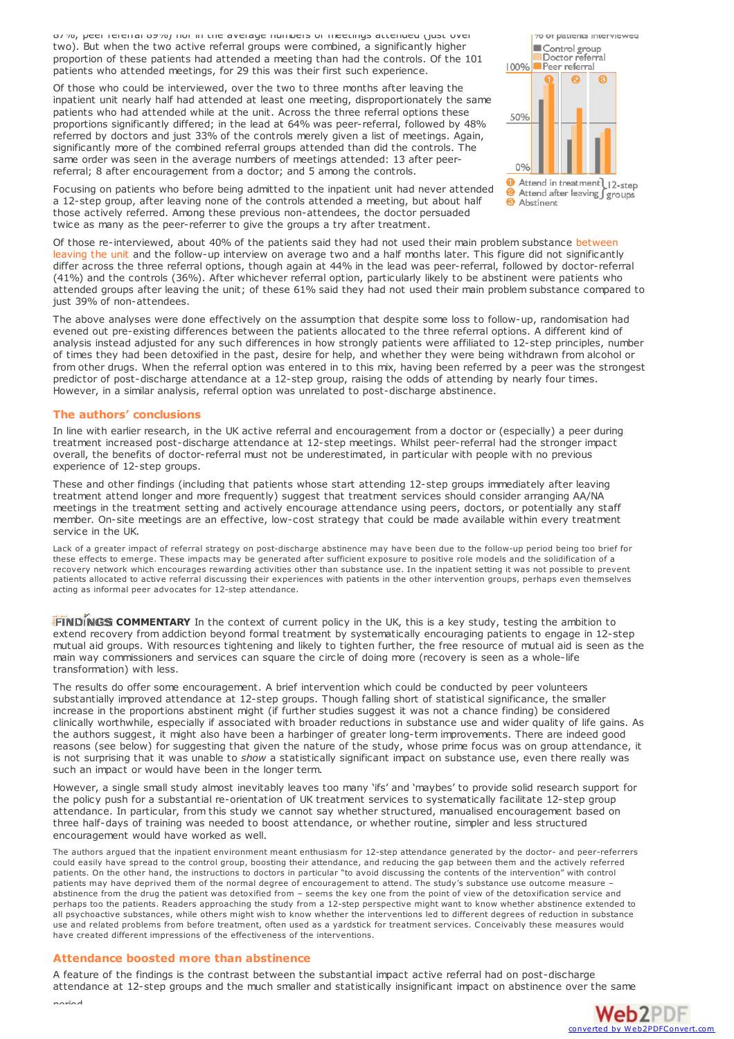87%; peer referral 89%) nor in the average numbers of meetings attended (just over two). But when the two active referral groups were combined, a significantly higher proportion of these patients had attended a meeting than had the controls. Of the 101 patients who attended meetings, for 29 this was their first such experience.

Of those who could be interviewed, over the two to three months after leaving the inpatient unit nearly half had attended at least one meeting, disproportionately the same patients who had attended while at the unit. Across the three referral options these proportions significantly differed; in the lead at 64% was peer-referral, followed by 48% referred by doctors and just 33% of the controls merely given a list of meetings. Again, significantly more of the combined referral groups attended than did the controls. The same order was seen in the average numbers of meetings attended: 13 after peerreferral; 8 after encouragement from a doctor; and 5 among the controls.



Focusing on patients who before being admitted to the inpatient unit had never attended a 12-step group, after leaving none of the controls attended a meeting, but about half those actively referred. Among these previous non-attendees, the doctor persuaded twice as many as the peer-referrer to give the groups a try after treatment.

Of those re-interviewed, about 40% of the patients said they had not used their main problem substance between leaving the unit and the follow-up interview on average two and a half months later. This figure did not significantly differ across the three referral options, though again at 44% in the lead was peer-referral, followed by doctor-referral (41%) and the controls (36%). After whichever referral option, particularly likely to be abstinent were patients who attended groups after leaving the unit; of these 61% said they had not used their main problem substance compared to just 39% of non-attendees.

The above analyses were done effectively on the assumption that despite some loss to follow-up, randomisation had evened out pre-existing differences between the patients allocated to the three referral options. A different kind of analysis instead adjusted for any such differences in how strongly patients were affiliated to 12-step principles, number of times they had been detoxified in the past, desire for help, and whether they were being withdrawn from alcohol or from other drugs. When the referral option was entered in to this mix, having been referred by a peer was the strongest predictor of post-discharge attendance at a 12-step group, raising the odds of attending by nearly four times. However, in a similar analysis, referral option was unrelated to post-discharge abstinence.

## **The authors' conclusions**

In line with earlier research, in the UK active referral and encouragement from a doctor or (especially) a peer during treatment increased post-discharge attendance at 12-step meetings. Whilst peer-referral had the stronger impact overall, the benefits of doctor-referral must not be underestimated, in particular with people with no previous experience of 12-step groups.

These and other findings (including that patients whose start attending 12-step groups immediately after leaving treatment attend longer and more frequently) suggest that treatment services should consider arranging AA/NA meetings in the treatment setting and actively encourage attendance using peers, doctors, or potentially any staff member. On-site meetings are an effective, low-cost strategy that could be made available within every treatment service in the UK.

Lack of a greater impact of referral strategy on post-discharge abstinence may have been due to the follow-up period being too brief for these effects to emerge. These impacts may be generated after sufficient exposure to positive role models and the solidification of a recovery network which encourages rewarding activities other than substance use. In the inpatient setting it was not possible to prevent patients allocated to active referral discussing their experiences with patients in the other intervention groups, perhaps even themselves acting as informal peer advocates for 12-step attendance.

**FINDINGS COMMENTARY** In the context of current policy in the UK, this is a key study, testing the ambition to extend recovery from addiction beyond formal treatment by systematically encouraging patients to engage in 12-step mutual aid groups. With resources tightening and likely to tighten further, the free resource of mutual aid is seen as the main way commissioners and services can square the circle of doing more (recovery is seen as a whole-life transformation) with less.

The results do offer some encouragement. A brief intervention which could be conducted by peer volunteers substantially improved attendance at 12-step groups. Though falling short of statistical significance, the smaller increase in the proportions abstinent might (if further studies suggest it was not a chance finding) be considered clinically worthwhile, especially if associated with broader reductions in substance use and wider quality of life gains. As the authors suggest, it might also have been a harbinger of greater long-term improvements. There are indeed good reasons (see below) for suggesting that given the nature of the study, whose prime focus was on group attendance, it is not surprising that it was unable to *show* a statistically significant impact on substance use, even there really was such an impact or would have been in the longer term.

However, a single small study almost inevitably leaves too many 'ifs' and 'maybes' to provide solid research support for the policy push for a substantial re-orientation of UK treatment services to systematically facilitate 12-step group attendance. In particular, from this study we cannot say whether structured, manualised encouragement based on three half-days of training was needed to boost attendance, or whether routine, simpler and less structured encouragement would have worked as well.

The authors argued that the inpatient environment meant enthusiasm for 12-step attendance generated by the doctor- and peer-referrers could easily have spread to the control group, boosting their attendance, and reducing the gap between them and the actively referred patients. On the other hand, the instructions to doctors in particular "to avoid discussing the contents of the intervention" with control patients may have deprived them of the normal degree of encouragement to attend. The study's substance use outcome measure – abstinence from the drug the patient was detoxified from – seems the key one from the point of view of the detoxification service and perhaps too the patients. Readers approaching the study from a 12-step perspective might want to know whether abstinence extended to all psychoactive substances, while others might wish to know whether the interventions led to different degrees of reduction in substance use and related problems from before treatment, often used as a yardstick for treatment services. Conceivably these measures would have created different impressions of the effectiveness of the interventions.

#### **Attendance boosted more than abstinence**

A feature of the findings is the contrast between the substantial impact active referral had on post-discharge attendance at 12-step groups and the much smaller and statistically insignificant impact on abstinence over the [same](http://www.web2pdfconvert.com?ref=PDF)



period.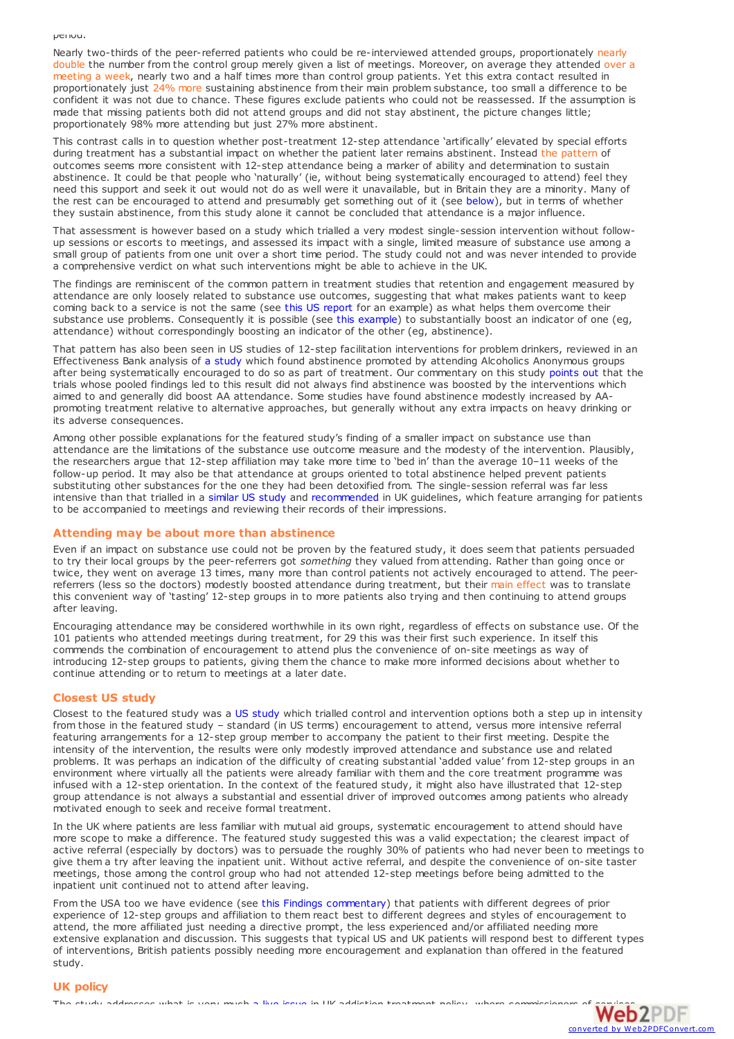period.

Nearly two-thirds of the peer-referred patients who could be re-interviewed attended groups, proportionately nearly double the number from the control group merely given a list of meetings. Moreover, on average they attended over a meeting a week, nearly two and a half times more than control group patients. Yet this extra contact resulted in proportionately just 24% more sustaining abstinence from their main problem substance, too small a difference to be confident it was not due to chance. These figures exclude patients who could not be reassessed. If the assumption is made that missing patients both did not attend groups and did not stay abstinent, the picture changes little; proportionately 98% more attending but just 27% more abstinent.

This contrast calls in to question whether post-treatment 12-step attendance 'artifically' elevated by special efforts during treatment has a substantial impact on whether the patient later remains abstinent. Instead the pattern of outcomes seems more consistent with 12-step attendance being a marker of ability and determination to sustain abstinence. It could be that people who 'naturally' (ie, without being systematically encouraged to attend) feel they need this support and seek it out would not do as well were it unavailable, but in Britain they are a minority. Many of the rest can be encouraged to attend and presumably get something out of it (see [below](#page-0-0)), but in terms of whether they sustain abstinence, from this study alone it cannot be concluded that attendance is a major influence.

That assessment is however based on a study which trialled a very modest single-session intervention without followup sessions or escorts to meetings, and assessed its impact with a single, limited measure of substance use among a small group of patients from one unit over a short time period. The study could not and was never intended to provide a comprehensive verdict on what such interventions might be able to achieve in the UK.

The findings are reminiscent of the common pattern in treatment studies that retention and engagement measured by attendance are only loosely related to substance use outcomes, suggesting that what makes patients want to keep coming back to a service is not the same (see this US [report](http://theincidentaleconomist.com/wordpress/wp-content/uploads/2012/04/AmJDrugAlc-Humphreys.pdf) for an example) as what helps them overcome their substance use problems. Consequently it is possible (see this [example](http://dx.doi.org/10.1002/14651858.CD006037.pub2)) to substantially boost an indicator of one (eg, attendance) without correspondingly boosting an indicator of the other (eg, abstinence).

That pattern has also been seen in US studies of 12-step facilitation interventions for problem drinkers, reviewed in an Effectiveness Bank analysis of a [study](https://findings.org.uk/PHP/dl.php?file=Humphreys_K_28.txt&s=eb) which found abstinence promoted by attending Alcoholics Anonymous groups after being systematically encouraged to do so as part of treatment. Our commentary on this study [points](https://findings.org.uk/PHP/dl.php?file=Humphreys_K_28.txt&s=eb#improve) out that the trials whose pooled findings led to this result did not always find abstinence was boosted by the interventions which aimed to and generally did boost AA attendance. Some studies have found abstinence modestly increased by AApromoting treatment relative to alternative approaches, but generally without any extra impacts on heavy drinking or its adverse consequences.

Among other possible explanations for the featured study's finding of a smaller impact on substance use than attendance are the limitations of the substance use outcome measure and the modesty of the intervention. Plausibly, the researchers argue that 12-step affiliation may take more time to 'bed in' than the average 10–11 weeks of the follow-up period. It may also be that attendance at groups oriented to total abstinence helped prevent patients substituting other substances for the one they had been detoxified from. The single-session referral was far less intensive than that trialled in a [similar](#page-0-0) US study and [recommended](#page-0-0) in UK guidelines, which feature arranging for patients to be accompanied to meetings and reviewing their records of their impressions.

# **Attending may be about more than abstinence**

Even if an impact on substance use could not be proven by the featured study, it does seem that patients persuaded to try their local groups by the peer-referrers got *something* they valued from attending. Rather than going once or twice, they went on average 13 times, many more than control patients not actively encouraged to attend. The peerreferrers (less so the doctors) modestly boosted attendance during treatment, but their main effect was to translate this convenient way of 'tasting' 12-step groups in to more patients also trying and then continuing to attend groups after leaving.

Encouraging attendance may be considered worthwhile in its own right, regardless of effects on substance use. Of the 101 patients who attended meetings during treatment, for 29 this was their first such experience. In itself this commends the combination of encouragement to attend plus the convenience of on-site meetings as way of introducing 12-step groups to patients, giving them the chance to make more informed decisions about whether to continue attending or to return to meetings at a later date.

# **Closest US study**

Closest to the featured [study](http://www.findings.org.uk/PHP/dl.php?file=Timko_C_9.txt) was a US study which trialled control and intervention options both a step up in intensity from those in the featured study – standard (in US terms) encouragement to attend, versus more intensive referral featuring arrangements for a 12-step group member to accompany the patient to their first meeting. Despite the intensity of the intervention, the results were only modestly improved attendance and substance use and related problems. It was perhaps an indication of the difficulty of creating substantial 'added value' from 12-step groups in an environment where virtually all the patients were already familiar with them and the core treatment programme was infused with a 12-step orientation. In the context of the featured study, it might also have illustrated that 12-step group attendance is not always a substantial and essential driver of improved outcomes among patients who already motivated enough to seek and receive formal treatment.

In the UK where patients are less familiar with mutual aid groups, systematic encouragement to attend should have more scope to make a difference. The featured study suggested this was a valid expectation; the clearest impact of active referral (especially by doctors) was to persuade the roughly 30% of patients who had never been to meetings to give them a try after leaving the inpatient unit. Without active referral, and despite the convenience of on-site taster meetings, those among the control group who had not attended 12-step meetings before being admitted to the inpatient unit continued not to attend after leaving.

From the USA too we have evidence (see this Findings [commentary](http://www.findings.org.uk/PHP/dl.php?file=Timko_C_9.txt#commentary)) that patients with different degrees of prior experience of 12-step groups and affiliation to them react best to different degrees and styles of encouragement to attend, the more affiliated just needing a directive prompt, the less experienced and/or affiliated needing more extensive explanation and discussion. This suggests that typical US and UK patients will respond best to different types of interventions, British patients possibly needing more encouragement and explanation than offered in the featured study.

# **UK policy**

The study addresses what is very much a live [issue](http://www.findings.org.uk/PHP/dl.php?file=steps.hot) in UK addiction treatment policy, where commissioners of  $Web2PE$